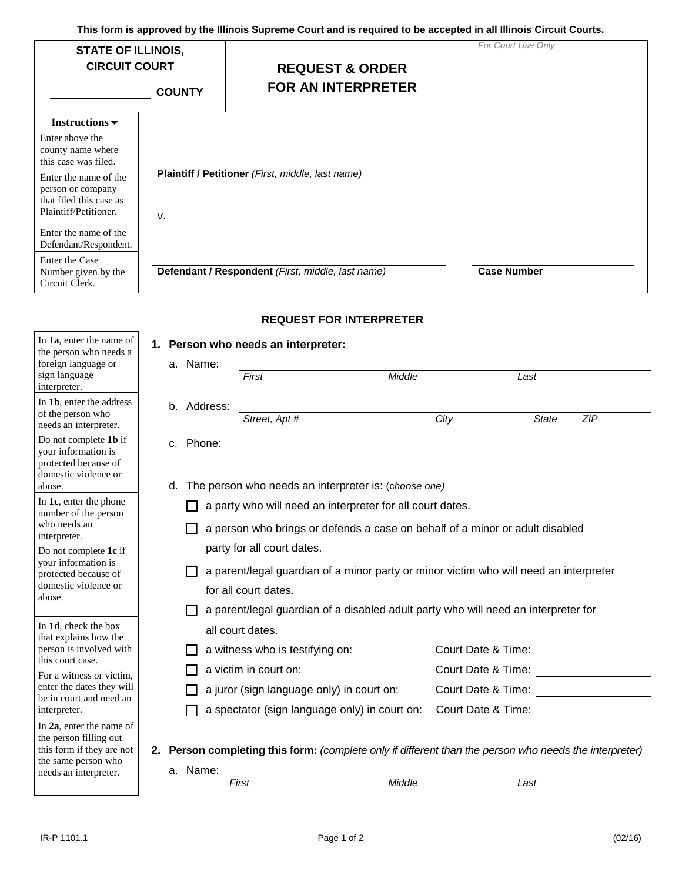**This form is approved by the Illinois Supreme Court and is required to be accepted in all Illinois Circuit Courts.**

| <b>STATE OF ILLINOIS,</b><br><b>CIRCUIT COURT</b>                       | <b>COUNTY</b> | <b>REQUEST &amp; ORDER</b><br><b>FOR AN INTERPRETER</b> | For Court Use Only |
|-------------------------------------------------------------------------|---------------|---------------------------------------------------------|--------------------|
| Instructions $\blacktriangledown$                                       |               |                                                         |                    |
| Enter above the<br>county name where<br>this case was filed.            |               |                                                         |                    |
| Enter the name of the<br>person or company<br>that filed this case as   |               | Plaintiff / Petitioner (First, middle, last name)       |                    |
| Plaintiff/Petitioner.<br>Enter the name of the<br>Defendant/Respondent. | V.            |                                                         |                    |
| Enter the Case<br>Number given by the<br>Circuit Clerk.                 |               | Defendant / Respondent (First, middle, last name)       | <b>Case Number</b> |

## **REQUEST FOR INTERPRETER**

| In 1a, enter the name of<br>the person who needs a                                                     |             | 1. Person who needs an interpreter:       |                                                                                                        |                    |                                                                                                                                                                                                                                |
|--------------------------------------------------------------------------------------------------------|-------------|-------------------------------------------|--------------------------------------------------------------------------------------------------------|--------------------|--------------------------------------------------------------------------------------------------------------------------------------------------------------------------------------------------------------------------------|
| foreign language or<br>sign language<br>interpreter.                                                   | a. Name:    | First                                     | Middle                                                                                                 | Last               |                                                                                                                                                                                                                                |
| In 1b, enter the address<br>of the person who<br>needs an interpreter.                                 | b. Address: | Street, Apt #                             |                                                                                                        | City               | <b>State</b><br>ZIP                                                                                                                                                                                                            |
| Do not complete 1b if<br>your information is<br>protected because of                                   | c. Phone:   |                                           |                                                                                                        |                    |                                                                                                                                                                                                                                |
| domestic violence or<br>abuse.                                                                         | d.          |                                           | The person who needs an interpreter is: (choose one)                                                   |                    |                                                                                                                                                                                                                                |
| In 1c, enter the phone<br>number of the person                                                         |             |                                           | a party who will need an interpreter for all court dates.                                              |                    |                                                                                                                                                                                                                                |
| who needs an<br>interpreter.                                                                           |             |                                           | a person who brings or defends a case on behalf of a minor or adult disabled                           |                    |                                                                                                                                                                                                                                |
| Do not complete 1c if                                                                                  |             | party for all court dates.                |                                                                                                        |                    |                                                                                                                                                                                                                                |
| your information is<br>protected because of                                                            |             |                                           | a parent/legal guardian of a minor party or minor victim who will need an interpreter                  |                    |                                                                                                                                                                                                                                |
| domestic violence or<br>abuse.                                                                         |             | for all court dates.                      |                                                                                                        |                    |                                                                                                                                                                                                                                |
|                                                                                                        |             |                                           | a parent/legal guardian of a disabled adult party who will need an interpreter for                     |                    |                                                                                                                                                                                                                                |
| In 1d, check the box<br>that explains how the                                                          |             | all court dates.                          |                                                                                                        |                    |                                                                                                                                                                                                                                |
| person is involved with                                                                                |             | a witness who is testifying on:           |                                                                                                        | Court Date & Time: |                                                                                                                                                                                                                                |
| this court case.<br>For a witness or victim.                                                           |             | a victim in court on:                     |                                                                                                        |                    | Court Date & Time:                                                                                                                                                                                                             |
| enter the dates they will<br>be in court and need an                                                   |             | a juror (sign language only) in court on: |                                                                                                        |                    | Court Date & Time: New York 1996                                                                                                                                                                                               |
| interpreter.                                                                                           |             |                                           | a spectator (sign language only) in court on:                                                          |                    | Court Date & Time: Note that the set of the set of the set of the set of the set of the set of the set of the set of the set of the set of the set of the set of the set of the set of the set of the set of the set of the se |
| In 2a, enter the name of<br>the person filling out<br>this form if they are not<br>the same person who | a. Name:    |                                           | 2. Person completing this form: (complete only if different than the person who needs the interpreter) |                    |                                                                                                                                                                                                                                |
| needs an interpreter.                                                                                  |             | First                                     | Middle                                                                                                 | Last               |                                                                                                                                                                                                                                |